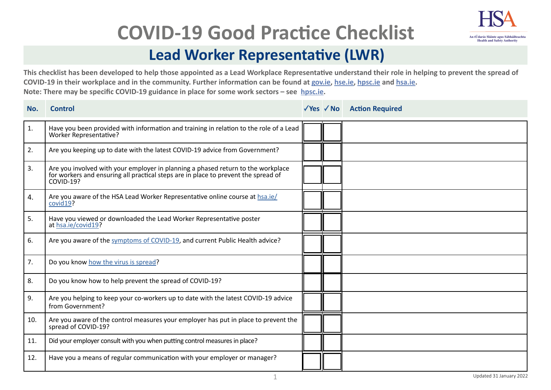

## **COVID-19 Good Practice Checklist**

## **Lead Worker Representative (LWR)**

**This checklist has been developed to help those appointed as a Lead Workplace Representative understand their role in helping to prevent the spread of COVID-19 in their workplace and in the community. Further information can be found at g[ov.ie](https://www.gov.ie/en/campaigns/c36c85-covid-19-coronavirus/), [hse.ie](https://www2.hse.ie/conditions/covid19/), [hpsc.ie](https://www.hpsc.ie/a-z/respiratory/coronavirus/novelcoronavirus/) and [hsa.ie.](https://www.hsa.ie/eng/topics/covid-19_coronavirus_information_and_resources/) Note: There may be specific COVID-19 guidance in place for some work sectors – see [hpsc.ie](https://www.hpsc.ie/a-z/respiratory/coronavirus/novelcoronavirus/).**

| No. | <b>Control</b>                                                                                                                                                                             |  | √Yes √ No Action Required |
|-----|--------------------------------------------------------------------------------------------------------------------------------------------------------------------------------------------|--|---------------------------|
| 1.  | Have you been provided with information and training in relation to the role of a Lead<br>Worker Representative?                                                                           |  |                           |
| 2.  | Are you keeping up to date with the latest COVID-19 advice from Government?                                                                                                                |  |                           |
| 3.  | Are you involved with your employer in planning a phased return to the workplace<br>for workers and ensuring all practical steps are in place to prevent the spread of<br><b>COVID-19?</b> |  |                           |
| 4.  | Are you aware of the HSA Lead Worker Representative online course at hsa.ie/<br>covid19?                                                                                                   |  |                           |
| 5.  | Have you viewed or downloaded the Lead Worker Representative poster<br>at hsa.ie/covid19?                                                                                                  |  |                           |
| 6.  | Are you aware of the symptoms of COVID-19, and current Public Health advice?                                                                                                               |  |                           |
| 7.  | Do you know how the virus is spread?                                                                                                                                                       |  |                           |
| 8.  | Do you know how to help prevent the spread of COVID-19?                                                                                                                                    |  |                           |
| 9.  | Are you helping to keep your co-workers up to date with the latest COVID-19 advice<br>from Government?                                                                                     |  |                           |
| 10. | Are you aware of the control measures your employer has put in place to prevent the<br>spread of COVID-19?                                                                                 |  |                           |
| 11. | Did your employer consult with you when putting control measures in place?                                                                                                                 |  |                           |
| 12. | Have you a means of regular communication with your employer or manager?                                                                                                                   |  |                           |